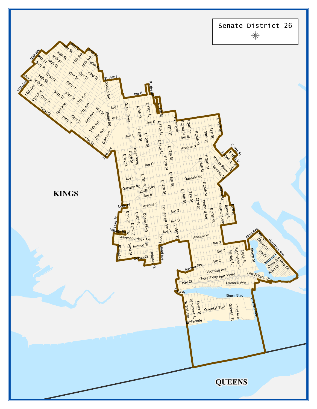